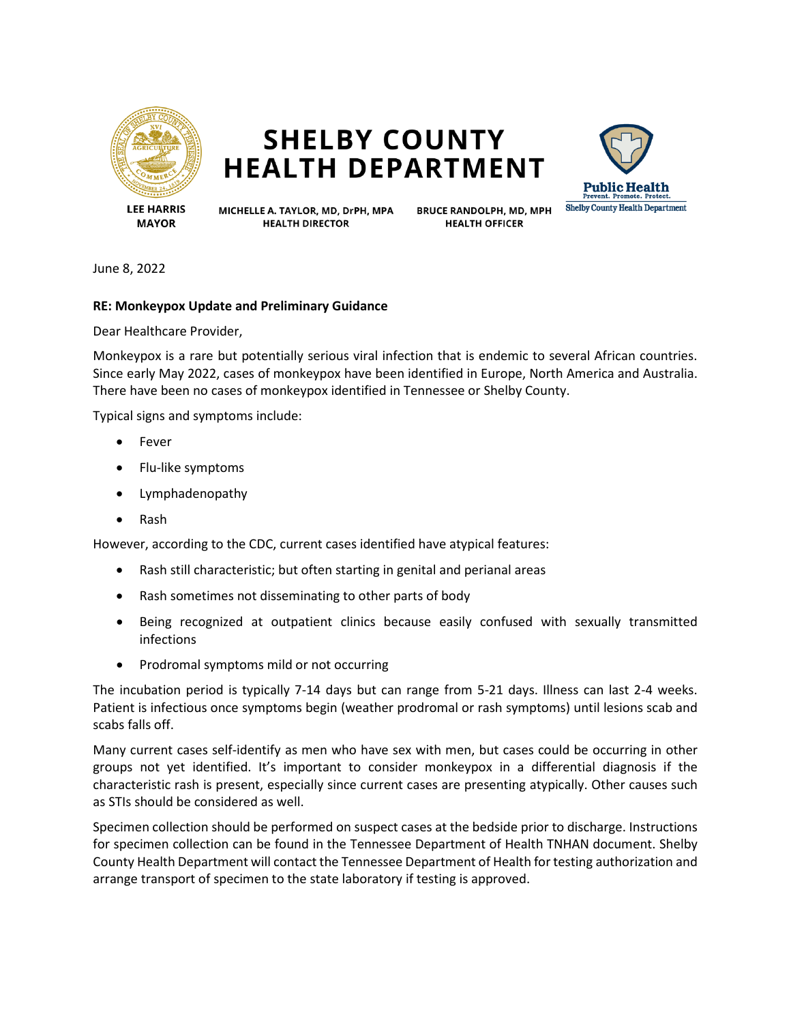

## **SHELBY COUNTY HEALTH DEPARTMENT**



**MAYOR** 

MICHELLE A. TAYLOR, MD, DrPH, MPA **HEALTH DIRECTOR** 

**BRUCE RANDOLPH, MD, MPH HEALTH OFFICER** 

June 8, 2022

## **RE: Monkeypox Update and Preliminary Guidance**

Dear Healthcare Provider,

Monkeypox is a rare but potentially serious viral infection that is endemic to several African countries. Since early May 2022, cases of monkeypox have been identified in Europe, North America and Australia. There have been no cases of monkeypox identified in Tennessee or Shelby County.

Typical signs and symptoms include:

- Fever
- Flu-like symptoms
- Lymphadenopathy
- Rash

However, according to the CDC, current cases identified have atypical features:

- Rash still characteristic; but often starting in genital and perianal areas
- Rash sometimes not disseminating to other parts of body
- Being recognized at outpatient clinics because easily confused with sexually transmitted infections
- Prodromal symptoms mild or not occurring

The incubation period is typically 7-14 days but can range from 5-21 days. Illness can last 2-4 weeks. Patient is infectious once symptoms begin (weather prodromal or rash symptoms) until lesions scab and scabs falls off.

Many current cases self-identify as men who have sex with men, but cases could be occurring in other groups not yet identified. It's important to consider monkeypox in a differential diagnosis if the characteristic rash is present, especially since current cases are presenting atypically. Other causes such as STIs should be considered as well.

Specimen collection should be performed on suspect cases at the bedside prior to discharge. Instructions for specimen collection can be found in the Tennessee Department of Health TNHAN document. Shelby County Health Department will contact the Tennessee Department of Health for testing authorization and arrange transport of specimen to the state laboratory if testing is approved.